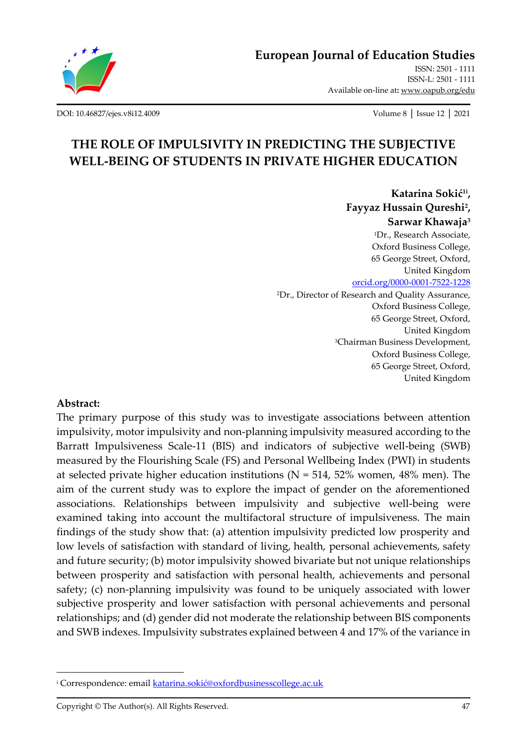

**[European Journal of Education Studies](http://oapub.org/edu/index.php/ejes)**

[ISSN: 2501 -](http://oapub.org/edu/index.php/ejes) 1111 [ISSN-L: 2501 -](http://oapub.org/edu/index.php/ejes) 1111 Available on-line at**:** [www.oapub.org/edu](http://www.oapub.org/edu)

[DOI: 10.46827/ejes.v8i12.4009](http://dx.doi.org/10.46827/ejes.v8i12.4009) Volume 8 │ Issue 12 │ 2021

# **THE ROLE OF IMPULSIVITY IN PREDICTING THE SUBJECTIVE WELL-BEING OF STUDENTS IN PRIVATE HIGHER EDUCATION**

**Katarina Sokić1i , Fayyaz Hussain Qureshi<sup>2</sup> , Sarwar Khawaja<sup>3</sup>** <sup>1</sup>Dr., Research Associate, Oxford Business College, 65 George Street, Oxford, United Kingdom [orcid.org/0000-0001-7522-1228](https://orcid.org/0000-0001-7522-1228) <sup>2</sup>Dr., Director of Research and Quality Assurance, Oxford Business College, 65 George Street, Oxford, United Kingdom <sup>3</sup>Chairman Business Development, Oxford Business College, 65 George Street, Oxford, United Kingdom

#### **Abstract:**

The primary purpose of this study was to investigate associations between attention impulsivity, motor impulsivity and non-planning impulsivity measured according to the Barratt Impulsiveness Scale-11 (BIS) and indicators of subjective well-being (SWB) measured by the Flourishing Scale (FS) and Personal Wellbeing Index (PWI) in students at selected private higher education institutions ( $N = 514$ , 52% women, 48% men). The aim of the current study was to explore the impact of gender on the aforementioned associations. Relationships between impulsivity and subjective well-being were examined taking into account the multifactoral structure of impulsiveness. The main findings of the study show that: (a) attention impulsivity predicted low prosperity and low levels of satisfaction with standard of living, health, personal achievements, safety and future security; (b) motor impulsivity showed bivariate but not unique relationships between prosperity and satisfaction with personal health, achievements and personal safety; (c) non-planning impulsivity was found to be uniquely associated with lower subjective prosperity and lower satisfaction with personal achievements and personal relationships; and (d) gender did not moderate the relationship between BIS components and SWB indexes. Impulsivity substrates explained between 4 and 17% of the variance in

<sup>&</sup>lt;sup>i</sup> Correspondence: email [katarina.sokić@oxfordbusinesscollege.ac.uk](mailto:katarina.sokić@oxfordbusinesscollege.ac.uk)

Copyright © The Author(s). All Rights Reserved. 47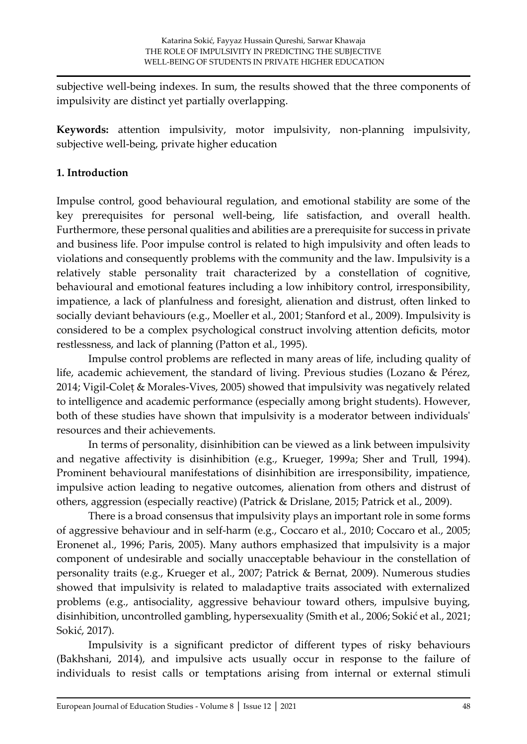subjective well-being indexes. In sum, the results showed that the three components of impulsivity are distinct yet partially overlapping.

**Keywords:** attention impulsivity, motor impulsivity, non-planning impulsivity, subjective well-being, private higher education

# **1. Introduction**

Impulse control, good behavioural regulation, and emotional stability are some of the key prerequisites for personal well-being, life satisfaction, and overall health. Furthermore, these personal qualities and abilities are a prerequisite for success in private and business life. Poor impulse control is related to high impulsivity and often leads to violations and consequently problems with the community and the law. Impulsivity is a relatively stable personality trait characterized by a constellation of cognitive, behavioural and emotional features including a low inhibitory control, irresponsibility, impatience, a lack of planfulness and foresight, alienation and distrust, often linked to socially deviant behaviours (e.g., Moeller et al., 2001; Stanford et al., 2009). Impulsivity is considered to be a complex psychological construct involving attention deficits, motor restlessness, and lack of planning (Patton et al., 1995).

Impulse control problems are reflected in many areas of life, including quality of life, academic achievement, the standard of living. Previous studies (Lozano & Pérez, 2014; Vigil-Coleṭ & Morales-Vives, 2005) showed that impulsivity was negatively related to intelligence and academic performance (especially among bright students). However, both of these studies have shown that impulsivity is a moderator between individuals' resources and their achievements.

In terms of personality, disinhibition can be viewed as a link between impulsivity and negative affectivity is disinhibition (e.g., Krueger, 1999a; Sher and Trull, 1994). Prominent behavioural manifestations of disinhibition are irresponsibility, impatience, impulsive action leading to negative outcomes, alienation from others and distrust of others, aggression (especially reactive) (Patrick & Drislane, 2015; Patrick et al., 2009).

There is a broad consensus that impulsivity plays an important role in some forms of aggressive behaviour and in self-harm (e.g., Coccaro et al., 2010; Coccaro et al., 2005; Eronenet al., 1996; Paris, 2005). Many authors emphasized that impulsivity is a major component of undesirable and socially unacceptable behaviour in the constellation of personality traits (e.g., Krueger et al., 2007; Patrick & Bernat, 2009). Numerous studies showed that impulsivity is related to maladaptive traits associated with externalized problems (e.g., antisociality, aggressive behaviour toward others, impulsive buying, disinhibition, uncontrolled gambling, hypersexuality (Smith et al., 2006; Sokić et al., 2021; Sokić, 2017).

Impulsivity is a significant predictor of different types of risky behaviours (Bakhshani, 2014), and impulsive acts usually occur in response to the failure of individuals to resist calls or temptations arising from internal or external stimuli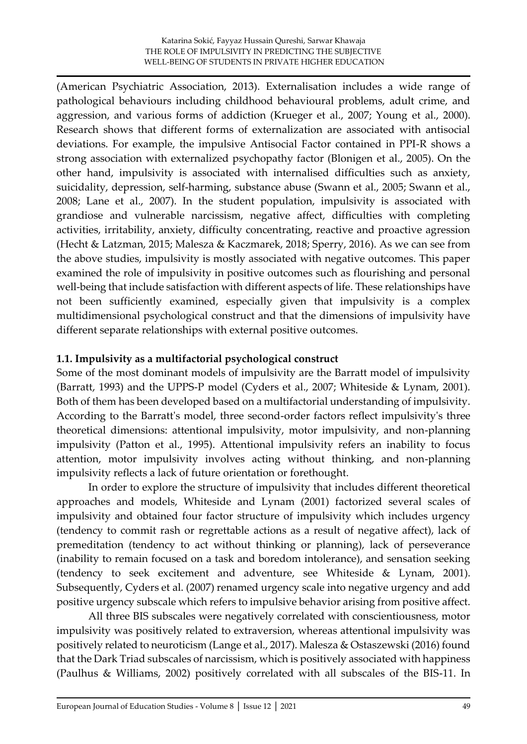(American Psychiatric Association, 2013). Externalisation includes a wide range of pathological behaviours including childhood behavioural problems, adult crime, and aggression, and various forms of addiction (Krueger et al., 2007; Young et al., 2000). Research shows that different forms of externalization are associated with antisocial deviations. For example, the impulsive Antisocial Factor contained in PPI-R shows a strong association with externalized psychopathy factor (Blonigen et al., 2005). On the other hand, impulsivity is associated with internalised difficulties such as anxiety, suicidality, depression, self-harming, substance abuse (Swann et al., 2005; Swann et al., 2008; Lane et al., 2007). In the student population, impulsivity is associated with grandiose and vulnerable narcissism, negative affect, difficulties with completing activities, irritability, anxiety, difficulty concentrating, reactive and proactive agression (Hecht & Latzman, 2015; Malesza & Kaczmarek, 2018; Sperry, 2016). As we can see from the above studies, impulsivity is mostly associated with negative outcomes. This paper examined the role of impulsivity in positive outcomes such as flourishing and personal well-being that include satisfaction with different aspects of life. These relationships have not been sufficiently examined, especially given that impulsivity is a complex multidimensional psychological construct and that the dimensions of impulsivity have different separate relationships with external positive outcomes.

# **1.1. Impulsivity as a multifactorial psychological construct**

Some of the most dominant models of impulsivity are the Barratt model of impulsivity (Barratt, 1993) and the UPPS-P model (Cyders et al., 2007; Whiteside & Lynam, 2001). Both of them has been developed based on a multifactorial understanding of impulsivity. According to the Barratt's model, three second-order factors reflect impulsivity's three theoretical dimensions: attentional impulsivity, motor impulsivity, and non-planning impulsivity (Patton et al., 1995). Attentional impulsivity refers an inability to focus attention, motor impulsivity involves acting without thinking, and non-planning impulsivity reflects a lack of future orientation or forethought.

In order to explore the structure of impulsivity that includes different theoretical approaches and models, Whiteside and Lynam (2001) factorized several scales of impulsivity and obtained four factor structure of impulsivity which includes urgency (tendency to commit rash or regrettable actions as a result of negative affect), lack of premeditation (tendency to act without thinking or planning), lack of perseverance (inability to remain focused on a task and boredom intolerance), and sensation seeking (tendency to seek excitement and adventure, see Whiteside & Lynam, 2001). Subsequently, Cyders et al. (2007) renamed urgency scale into negative urgency and add positive urgency subscale which refers to impulsive behavior arising from positive affect.

All three BIS subscales were negatively correlated with conscientiousness, motor impulsivity was positively related to extraversion, whereas attentional impulsivity was positively related to neuroticism (Lange et al., 2017). Malesza & Ostaszewski (2016) found that the Dark Triad subscales of narcissism, which is positively associated with happiness (Paulhus & Williams, 2002) positively correlated with all subscales of the BIS-11. In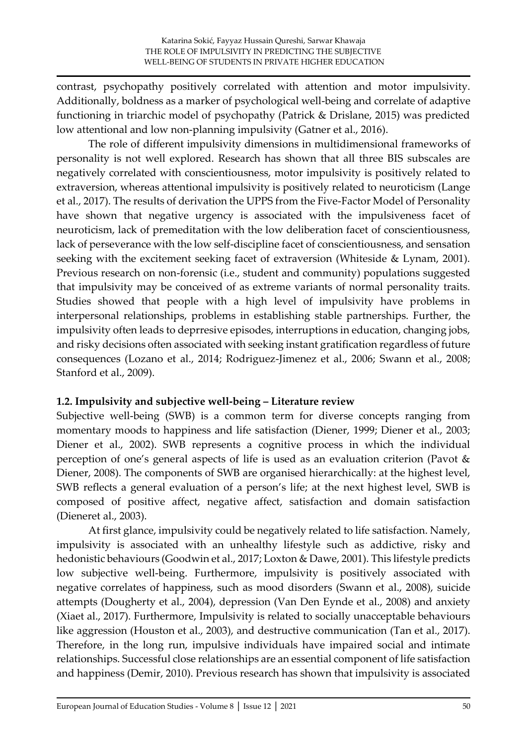contrast, psychopathy positively correlated with attention and motor impulsivity. Additionally, boldness as a marker of psychological well-being and correlate of adaptive functioning in triarchic model of psychopathy (Patrick & Drislane, 2015) was predicted low attentional and low non-planning impulsivity (Gatner et al., 2016).

The role of different impulsivity dimensions in multidimensional frameworks of personality is not well explored. Research has shown that all three BIS subscales are negatively correlated with conscientiousness, motor impulsivity is positively related to extraversion, whereas attentional impulsivity is positively related to neuroticism (Lange et al., 2017). The results of derivation the UPPS from the Five-Factor Model of Personality have shown that negative urgency is associated with the impulsiveness facet of neuroticism, lack of premeditation with the low deliberation facet of conscientiousness, lack of perseverance with the low self-discipline facet of conscientiousness, and sensation seeking with the excitement seeking facet of extraversion (Whiteside & Lynam, 2001). Previous research on non-forensic (i.e., student and community) populations suggested that impulsivity may be conceived of as extreme variants of normal personality traits. Studies showed that people with a high level of impulsivity have problems in interpersonal relationships, problems in establishing stable partnerships. Further, the impulsivity often leads to deprresive episodes, interruptions in education, changing jobs, and risky decisions often associated with seeking instant gratification regardless of future consequences (Lozano et al., 2014; Rodriguez-Jimenez et al., 2006; Swann et al., 2008; Stanford et al., 2009).

## **1.2. Impulsivity and subjective well-being – Literature review**

Subjective well-being (SWB) is a common term for diverse concepts ranging from momentary moods to happiness and life satisfaction (Diener, 1999; Diener et al., 2003; Diener et al., 2002). SWB represents a cognitive process in which the individual perception of one's general aspects of life is used as an evaluation criterion (Pavot & Diener, 2008). The components of SWB are organised hierarchically: at the highest level, SWB reflects a general evaluation of a person's life; at the next highest level, SWB is composed of positive affect, negative affect, satisfaction and domain satisfaction (Dieneret al., 2003).

At first glance, impulsivity could be negatively related to life satisfaction. Namely, impulsivity is associated with an unhealthy lifestyle such as addictive, risky and hedonistic behaviours (Goodwin et al., 2017; Loxton & Dawe, 2001). This lifestyle predicts low subjective well-being. Furthermore, impulsivity is positively associated with negative correlates of happiness, such as mood disorders (Swann et al., 2008), suicide attempts (Dougherty et al., 2004), depression (Van Den Eynde et al., 2008) and anxiety (Xiaet al., 2017). Furthermore, Impulsivity is related to socially unacceptable behaviours like aggression (Houston et al., 2003), and destructive communication (Tan et al., 2017). Therefore, in the long run, impulsive individuals have impaired social and intimate relationships. Successful close relationships are an essential component of life satisfaction and happiness (Demir, 2010). Previous research has shown that impulsivity is associated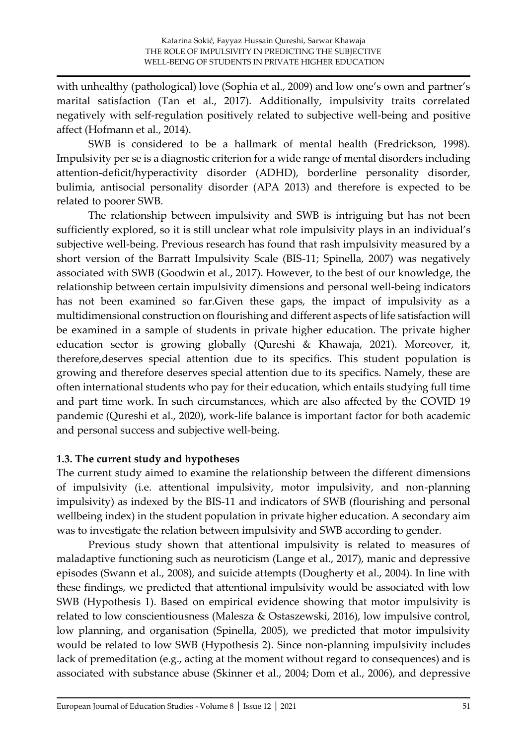with unhealthy (pathological) love (Sophia et al., 2009) and low one's own and partner's marital satisfaction (Tan et al., 2017). Additionally, impulsivity traits correlated negatively with self-regulation positively related to subjective well-being and positive affect (Hofmann et al., 2014).

SWB is considered to be a hallmark of mental health (Fredrickson, 1998). Impulsivity per se is a diagnostic criterion for a wide range of mental disorders including attention-deficit/hyperactivity disorder (ADHD), borderline personality disorder, bulimia, antisocial personality disorder (APA 2013) and therefore is expected to be related to poorer SWB.

The relationship between impulsivity and SWB is intriguing but has not been sufficiently explored, so it is still unclear what role impulsivity plays in an individual's subjective well-being. Previous research has found that rash impulsivity measured by a short version of the Barratt Impulsivity Scale (BIS-11; Spinella, 2007) was negatively associated with SWB (Goodwin et al., 2017). However, to the best of our knowledge, the relationship between certain impulsivity dimensions and personal well-being indicators has not been examined so far.Given these gaps, the impact of impulsivity as a multidimensional construction on flourishing and different aspects of life satisfaction will be examined in a sample of students in private higher education. The private higher education sector is growing globally (Qureshi & Khawaja, 2021). Moreover, it, therefore,deserves special attention due to its specifics. This student population is growing and therefore deserves special attention due to its specifics. Namely, these are often international students who pay for their education, which entails studying full time and part time work. In such circumstances, which are also affected by the COVID 19 pandemic (Qureshi et al., 2020), work-life balance is important factor for both academic and personal success and subjective well-being.

#### **1.3. The current study and hypotheses**

The current study aimed to examine the relationship between the different dimensions of impulsivity (i.e. attentional impulsivity, motor impulsivity, and non-planning impulsivity) as indexed by the BIS-11 and indicators of SWB (flourishing and personal wellbeing index) in the student population in private higher education. A secondary aim was to investigate the relation between impulsivity and SWB according to gender.

Previous study shown that attentional impulsivity is related to measures of maladaptive functioning such as neuroticism (Lange et al., 2017), manic and depressive episodes (Swann et al., 2008), and suicide attempts (Dougherty et al., 2004). In line with these findings, we predicted that attentional impulsivity would be associated with low SWB (Hypothesis 1). Based on empirical evidence showing that motor impulsivity is related to low conscientiousness (Malesza & Ostaszewski, 2016), low impulsive control, low planning, and organisation (Spinella, 2005), we predicted that motor impulsivity would be related to low SWB (Hypothesis 2). Since non-planning impulsivity includes lack of premeditation (e.g., acting at the moment without regard to consequences) and is associated with substance abuse (Skinner et al., 2004; Dom et al., 2006), and depressive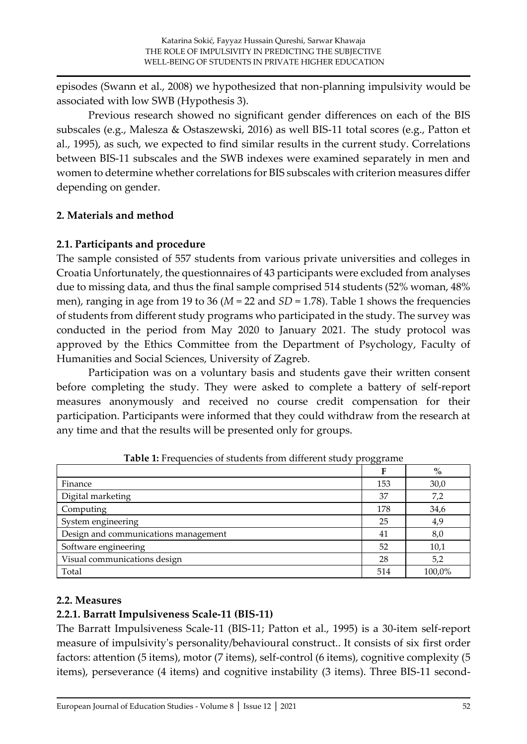episodes (Swann et al., 2008) we hypothesized that non-planning impulsivity would be associated with low SWB (Hypothesis 3).

Previous research showed no significant gender differences on each of the BIS subscales (e.g., Malesza & Ostaszewski, 2016) as well BIS-11 total scores (e.g., Patton et al., 1995), as such, we expected to find similar results in the current study. Correlations between BIS-11 subscales and the SWB indexes were examined separately in men and women to determine whether correlations for BIS subscales with criterion measures differ depending on gender.

### **2. Materials and method**

### **2.1. Participants and procedure**

The sample consisted of 557 students from various private universities and colleges in Croatia Unfortunately, the questionnaires of 43 participants were excluded from analyses due to missing data, and thus the final sample comprised 514 students (52% woman, 48% men), ranging in age from 19 to 36 (*M* = 22 and *SD* = 1.78). Table 1 shows the frequencies of students from different study programs who participated in the study. The survey was conducted in the period from May 2020 to January 2021. The study protocol was approved by the Ethics Committee from the Department of Psychology, Faculty of Humanities and Social Sciences, University of Zagreb.

Participation was on a voluntary basis and students gave their written consent before completing the study. They were asked to complete a battery of self-report measures anonymously and received no course credit compensation for their participation. Participants were informed that they could withdraw from the research at any time and that the results will be presented only for groups.

|                                      | $\circ\circ$ |        |  |  |
|--------------------------------------|--------------|--------|--|--|
|                                      |              | $\%$   |  |  |
| Finance                              | 153          | 30,0   |  |  |
| Digital marketing                    | 37           | 7,2    |  |  |
| Computing                            | 178          | 34,6   |  |  |
| System engineering                   | 25           | 4,9    |  |  |
| Design and communications management | 41           | 8,0    |  |  |
| Software engineering                 | 52           | 10,1   |  |  |
| Visual communications design         | 28           | 5,2    |  |  |
| Total                                | 514          | 100,0% |  |  |

**Table 1:** Frequencies of students from different study proggrame

#### **2.2. Measures**

#### **2.2.1. Barratt Impulsiveness Scale-11 (BIS-11)**

The Barratt Impulsiveness Scale-11 (BIS-11; Patton et al., 1995) is a 30-item self-report measure of impulsivity's personality/behavioural construct.. It consists of six first order factors: attention (5 items), motor (7 items), self-control (6 items), cognitive complexity (5 items), perseverance (4 items) and cognitive instability (3 items). Three BIS-11 second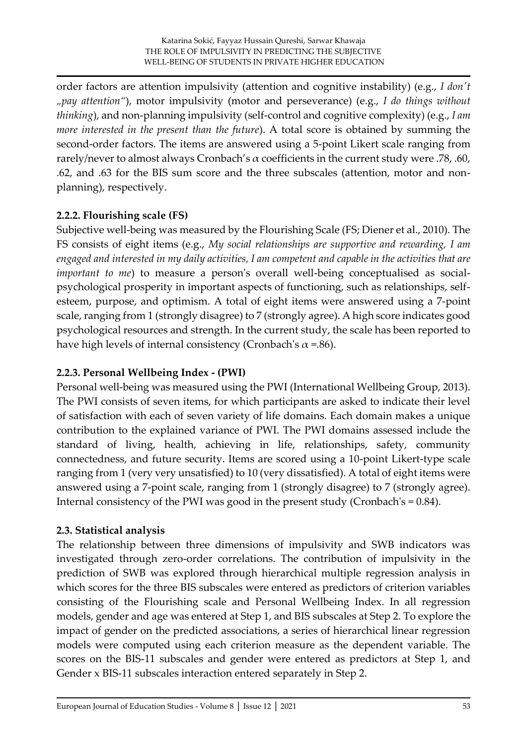order factors are attention impulsivity (attention and cognitive instability) (e.g., *I don't "pay attention"*), motor impulsivity (motor and perseverance) (e.g., *I do things without thinking*), and non-planning impulsivity (self-control and cognitive complexity) (e.g., *I am more interested in the present than the future*). A total score is obtained by summing the second-order factors. The items are answered using a 5-point Likert scale ranging from rarely/never to almost always Cronbach's  $\alpha$  coefficients in the current study were .78, .60, .62, and .63 for the BIS sum score and the three subscales (attention, motor and nonplanning), respectively.

## **2.2.2. Flourishing scale (FS)**

Subjective well-being was measured by the Flourishing Scale (FS; Diener et al., 2010). The FS consists of eight items (e.g., *My social relationships are supportive and rewarding, I am engaged and interested in my daily activities, I am competent and capable in the activities that are important to me*) to measure a person's overall well-being conceptualised as socialpsychological prosperity in important aspects of functioning, such as relationships, selfesteem, purpose, and optimism. A total of eight items were answered using a 7-point scale, ranging from 1 (strongly disagree) to 7 (strongly agree). A high score indicates good psychological resources and strength. In the current study, the scale has been reported to have high levels of internal consistency (Cronbach's  $\alpha$  =.86).

# **2.2.3. Personal Wellbeing Index - (PWI)**

Personal well-being was measured using the PWI (International Wellbeing Group, 2013). The PWI consists of seven items, for which participants are asked to indicate their level of satisfaction with each of seven variety of life domains. Each domain makes a unique contribution to the explained variance of PWI. The PWI domains assessed include the standard of living, health, achieving in life, relationships, safety, community connectedness, and future security. Items are scored using a 10-point Likert-type scale ranging from 1 (very very unsatisfied) to 10 (very dissatisfied). A total of eight items were answered using a 7-point scale, ranging from 1 (strongly disagree) to 7 (strongly agree). Internal consistency of the PWI was good in the present study (Cronbach's = 0.84).

# **2.3. Statistical analysis**

The relationship between three dimensions of impulsivity and SWB indicators was investigated through zero-order correlations. The contribution of impulsivity in the prediction of SWB was explored through hierarchical multiple regression analysis in which scores for the three BIS subscales were entered as predictors of criterion variables consisting of the Flourishing scale and Personal Wellbeing Index. In all regression models, gender and age was entered at Step 1, and BIS subscales at Step 2. To explore the impact of gender on the predicted associations, a series of hierarchical linear regression models were computed using each criterion measure as the dependent variable. The scores on the BIS-11 subscales and gender were entered as predictors at Step 1, and Gender x BIS-11 subscales interaction entered separately in Step 2.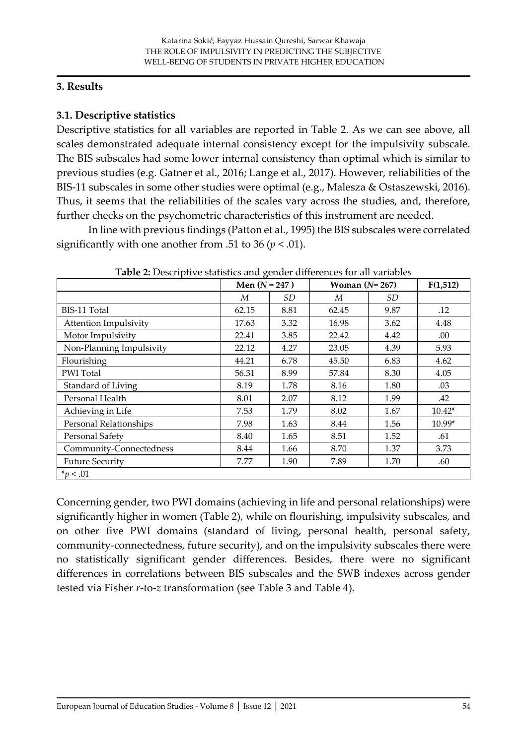#### **3. Results**

# **3.1. Descriptive statistics**

Descriptive statistics for all variables are reported in Table 2. As we can see above, all scales demonstrated adequate internal consistency except for the impulsivity subscale. The BIS subscales had some lower internal consistency than optimal which is similar to previous studies (e.g. Gatner et al., 2016; Lange et al., 2017). However, reliabilities of the BIS-11 subscales in some other studies were optimal (e.g., Malesza & Ostaszewski, 2016). Thus, it seems that the reliabilities of the scales vary across the studies, and, therefore, further checks on the psychometric characteristics of this instrument are needed.

In line with previous findings (Patton et al., 1995) the BIS subscales were correlated significantly with one another from .51 to 36 ( $p < .01$ ).

|                              | Men $(N = 247)$ |      | Woman $(N=267)$ |      | F(1,512) |
|------------------------------|-----------------|------|-----------------|------|----------|
|                              | М               | SD   | М               | SD   |          |
| BIS-11 Total                 | 62.15           | 8.81 | 62.45           | 9.87 | .12      |
| <b>Attention Impulsivity</b> | 17.63           | 3.32 | 16.98           | 3.62 | 4.48     |
| Motor Impulsivity            | 22.41           | 3.85 | 22.42           | 4.42 | .00.     |
| Non-Planning Impulsivity     | 22.12           | 4.27 | 23.05           | 4.39 | 5.93     |
| Flourishing                  | 44.21           | 6.78 | 45.50           | 6.83 | 4.62     |
| <b>PWI</b> Total             | 56.31           | 8.99 | 57.84           | 8.30 | 4.05     |
| Standard of Living           | 8.19            | 1.78 | 8.16            | 1.80 | .03      |
| Personal Health              | 8.01            | 2.07 | 8.12            | 1.99 | .42      |
| Achieving in Life            | 7.53            | 1.79 | 8.02            | 1.67 | $10.42*$ |
| Personal Relationships       | 7.98            | 1.63 | 8.44            | 1.56 | 10.99*   |
| Personal Safety              | 8.40            | 1.65 | 8.51            | 1.52 | .61      |
| Community-Connectedness      | 8.44            | 1.66 | 8.70            | 1.37 | 3.73     |
| <b>Future Security</b>       | 7.77            | 1.90 | 7.89            | 1.70 | .60      |
| $*_p$ < .01                  |                 |      |                 |      |          |

**Table 2:** Descriptive statistics and gender differences for all variables

Concerning gender, two PWI domains (achieving in life and personal relationships) were significantly higher in women (Table 2), while on flourishing, impulsivity subscales, and on other five PWI domains (standard of living, personal health, personal safety, community-connectedness, future security), and on the impulsivity subscales there were no statistically significant gender differences. Besides, there were no significant differences in correlations between BIS subscales and the SWB indexes across gender tested via Fisher *r*-to-*z* transformation (see Table 3 and Table 4).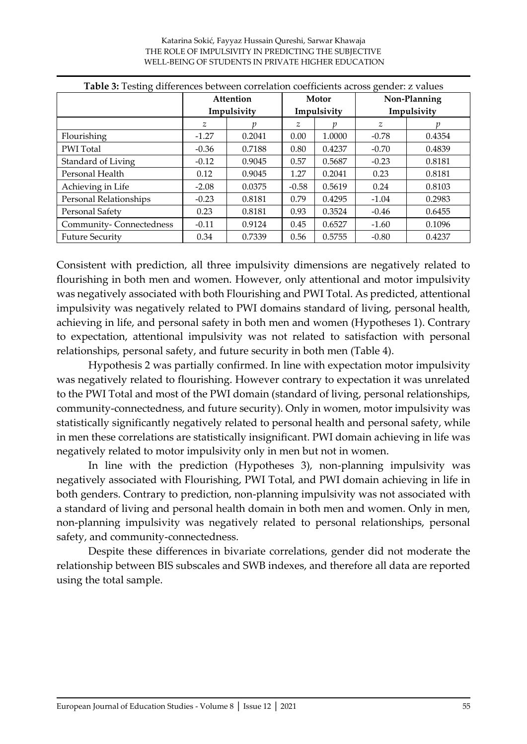# Katarina Sokić, Fayyaz Hussain Qureshi, Sarwar Khawaja THE ROLE OF IMPULSIVITY IN PREDICTING THE SUBJECTIVE

|                         | Attention     |        | Motor          |        | Non-Planning |        |  |
|-------------------------|---------------|--------|----------------|--------|--------------|--------|--|
|                         | Impulsivity   |        | Impulsivity    |        | Impulsivity  |        |  |
|                         | $\mathcal{Z}$ |        | $\overline{z}$ | п      | z            |        |  |
| Flourishing             | $-1.27$       | 0.2041 | 0.00           | 1.0000 | $-0.78$      | 0.4354 |  |
| <b>PWI</b> Total        | $-0.36$       | 0.7188 | 0.80           | 0.4237 | $-0.70$      | 0.4839 |  |
| Standard of Living      | $-0.12$       | 0.9045 | 0.57           | 0.5687 | $-0.23$      | 0.8181 |  |
| Personal Health         | 0.12          | 0.9045 | 1.27           | 0.2041 | 0.23         | 0.8181 |  |
| Achieving in Life       | $-2.08$       | 0.0375 | $-0.58$        | 0.5619 | 0.24         | 0.8103 |  |
| Personal Relationships  | $-0.23$       | 0.8181 | 0.79           | 0.4295 | $-1.04$      | 0.2983 |  |
| Personal Safety         | 0.23          | 0.8181 | 0.93           | 0.3524 | $-0.46$      | 0.6455 |  |
| Community-Connectedness | $-0.11$       | 0.9124 | 0.45           | 0.6527 | $-1.60$      | 0.1096 |  |
| <b>Future Security</b>  | 0.34          | 0.7339 | 0.56           | 0.5755 | $-0.80$      | 0.4237 |  |

WELL-BEING OF STUDENTS IN PRIVATE HIGHER EDUCATION

Consistent with prediction, all three impulsivity dimensions are negatively related to flourishing in both men and women. However, only attentional and motor impulsivity was negatively associated with both Flourishing and PWI Total. As predicted, attentional impulsivity was negatively related to PWI domains standard of living, personal health, achieving in life, and personal safety in both men and women (Hypotheses 1). Contrary to expectation, attentional impulsivity was not related to satisfaction with personal relationships, personal safety, and future security in both men (Table 4).

Hypothesis 2 was partially confirmed. In line with expectation motor impulsivity was negatively related to flourishing. However contrary to expectation it was unrelated to the PWI Total and most of the PWI domain (standard of living, personal relationships, community-connectedness, and future security). Only in women, motor impulsivity was statistically significantly negatively related to personal health and personal safety, while in men these correlations are statistically insignificant. PWI domain achieving in life was negatively related to motor impulsivity only in men but not in women.

In line with the prediction (Hypotheses 3), non-planning impulsivity was negatively associated with Flourishing, PWI Total, and PWI domain achieving in life in both genders. Contrary to prediction, non-planning impulsivity was not associated with a standard of living and personal health domain in both men and women. Only in men, non-planning impulsivity was negatively related to personal relationships, personal safety, and community-connectedness.

Despite these differences in bivariate correlations, gender did not moderate the relationship between BIS subscales and SWB indexes, and therefore all data are reported using the total sample.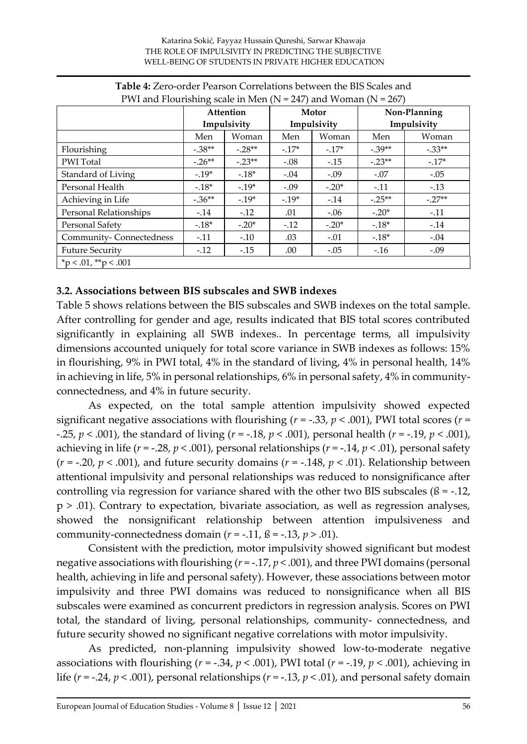#### Katarina Sokić, Fayyaz Hussain Qureshi, Sarwar Khawaja THE ROLE OF IMPULSIVITY IN PREDICTING THE SUBJECTIVE WELL-BEING OF STUDENTS IN PRIVATE HIGHER EDUCATION

| P We and Flourishing scale in Men ( $N = 247$ ) and Woman ( $N = 267$ ) |             |          |         |             |              |          |  |  |
|-------------------------------------------------------------------------|-------------|----------|---------|-------------|--------------|----------|--|--|
|                                                                         | Attention   |          | Motor   |             | Non-Planning |          |  |  |
|                                                                         | Impulsivity |          |         | Impulsivity | Impulsivity  |          |  |  |
|                                                                         | Men         | Woman    | Men     | Woman       | Men          | Woman    |  |  |
| Flourishing                                                             | $-.38**$    | $-.28**$ | $-17*$  | $-.17*$     | $-.39**$     | $-.33**$ |  |  |
| PWI Total                                                               | $-.26**$    | $-.23**$ | $-.08$  | $-15$       | $-.23**$     | $-17*$   |  |  |
| Standard of Living                                                      | $-19*$      | $-.18*$  | $-.04$  | $-.09$      | $-.07$       | $-.05$   |  |  |
| Personal Health                                                         | $-18*$      | $-.19*$  | $-.09$  | $-.20*$     | $-.11$       | $-.13$   |  |  |
| Achieving in Life                                                       | $-.36**$    | $-.19*$  | $-.19*$ | $-14$       | $-.25**$     | $-.27**$ |  |  |
| Personal Relationships                                                  | $-.14$      | $-.12$   | .01     | $-.06$      | $-.20*$      | $-.11$   |  |  |
| Personal Safety                                                         | $-.18*$     | $-.20*$  | $-.12$  | $-.20*$     | $-18*$       | $-.14$   |  |  |
| Community-Connectedness                                                 | $-.11$      | $-.10$   | .03     | $-.01$      | $-.18*$      | $-.04$   |  |  |
| <b>Future Security</b>                                                  | $-.12$      | $-.15$   | .00.    | $-.05$      | $-16$        | $-.09$   |  |  |
| $*p < .01, **p < .001$                                                  |             |          |         |             |              |          |  |  |

#### **Table 4:** Zero-order Pearson Correlations between the BIS Scales and  $PML$  and  $F$ lourishing scale in Men  $(N - 247)$  and  $M_{CDM2}$   $(N - 267)$

# **3.2. Associations between BIS subscales and SWB indexes**

Table 5 shows relations between the BIS subscales and SWB indexes on the total sample. After controlling for gender and age, results indicated that BIS total scores contributed significantly in explaining all SWB indexes.. In percentage terms, all impulsivity dimensions accounted uniquely for total score variance in SWB indexes as follows: 15% in flourishing, 9% in PWI total, 4% in the standard of living, 4% in personal health, 14% in achieving in life, 5% in personal relationships, 6% in personal safety, 4% in communityconnectedness, and 4% in future security.

As expected, on the total sample attention impulsivity showed expected significant negative associations with flourishing (*r* = -.33, *p* < .001), PWI total scores (*r* = -.25, *p* < .001), the standard of living (*r* = -.18, *p* < .001), personal health (*r* = -.19, *p* < .001), achieving in life (*r* = -.28, *p* < .001), personal relationships (*r* = -.14, *p* < .01), personal safety ( $r = -0.20$ ,  $p < .001$ ), and future security domains ( $r = -0.148$ ,  $p < .01$ ). Relationship between attentional impulsivity and personal relationships was reduced to nonsignificance after controlling via regression for variance shared with the other two BIS subscales ( $\beta$  = -.12, p > .01). Contrary to expectation, bivariate association, as well as regression analyses, showed the nonsignificant relationship between attention impulsiveness and community-connectedness domain  $(r = -.11, \mathbf{B} = -.13, p > .01)$ .

Consistent with the prediction, motor impulsivity showed significant but modest negative associations with flourishing (*r* = -.17, *p* < .001), and three PWI domains (personal health, achieving in life and personal safety). However, these associations between motor impulsivity and three PWI domains was reduced to nonsignificance when all BIS subscales were examined as concurrent predictors in regression analysis. Scores on PWI total, the standard of living, personal relationships, community- connectedness, and future security showed no significant negative correlations with motor impulsivity.

As predicted, non-planning impulsivity showed low-to-moderate negative associations with flourishing ( $r = -.34$ ,  $p < .001$ ), PWI total ( $r = -.19$ ,  $p < .001$ ), achieving in life ( $r = -0.24$ ,  $p < 0.001$ ), personal relationships ( $r = -0.13$ ,  $p < 0.01$ ), and personal safety domain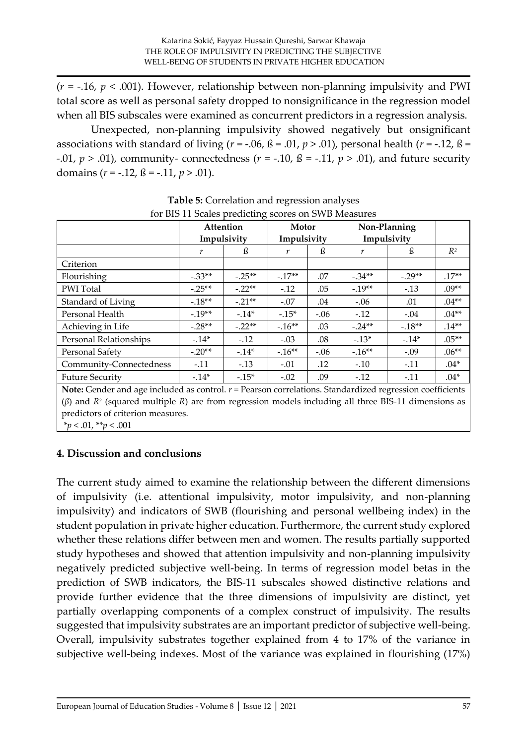(*r* = -.16, *p* < .001). However, relationship between non-planning impulsivity and PWI total score as well as personal safety dropped to nonsignificance in the regression model when all BIS subscales were examined as concurrent predictors in a regression analysis.

Unexpected, non-planning impulsivity showed negatively but onsignificant associations with standard of living  $(r = -.06, \beta = .01, p > .01)$ , personal health  $(r = -.12, \beta =$ -.01,  $p > .01$ ), community- connectedness ( $r = -.10$ ,  $\beta = -.11$ ,  $p > .01$ ), and future security domains (*r* = -.12, ß = -.11, *p* > .01).

|                                                                                                                                                                                                                                                                 |          | Attention   | Motor       |        | Non-Planning |          |          |
|-----------------------------------------------------------------------------------------------------------------------------------------------------------------------------------------------------------------------------------------------------------------|----------|-------------|-------------|--------|--------------|----------|----------|
|                                                                                                                                                                                                                                                                 |          | Impulsivity | Impulsivity |        | Impulsivity  |          |          |
|                                                                                                                                                                                                                                                                 | r        | ß           | r           | ß      | r            | ß        | $R^2$    |
| Criterion                                                                                                                                                                                                                                                       |          |             |             |        |              |          |          |
| Flourishing                                                                                                                                                                                                                                                     | $-.33**$ | $-.25**$    | $-17**$     | .07    | $-.34**$     | $-.29**$ | $.17**$  |
| PWI Total                                                                                                                                                                                                                                                       | $-.25**$ | $-.22**$    | $-.12$      | .05    | $-.19**$     | $-.13$   | $.09**$  |
| Standard of Living                                                                                                                                                                                                                                              | $-.18**$ | $-.21**$    | $-.07$      | .04    | $-.06$       | .01      | $.04**$  |
| Personal Health                                                                                                                                                                                                                                                 | $-19**$  | $-14*$      | $-15*$      | $-.06$ | $-.12$       | $-.04$   | $.04**$  |
| Achieving in Life                                                                                                                                                                                                                                               | $-.28**$ | $-.22**$    | $-.16**$    | .03    | $-.24**$     | $-18**$  | $.14**$  |
| Personal Relationships                                                                                                                                                                                                                                          | $-14*$   | $-.12$      | $-.03$      | .08    | $-13*$       | $-14*$   | $.05***$ |
| Personal Safety                                                                                                                                                                                                                                                 | $-.20**$ | $-14*$      | $-16**$     | $-.06$ | $-16**$      | $-.09$   | $.06***$ |
| Community-Connectedness                                                                                                                                                                                                                                         | $-.11$   | $-.13$      | $-.01$      | .12    | $-.10$       | $-.11$   | $.04*$   |
| <b>Future Security</b>                                                                                                                                                                                                                                          | $-14*$   | $-15*$      | $-.02$      | .09    | $-.12$       | $-.11$   | $.04*$   |
| Note: Gender and age included as control. $r =$ Pearson correlations. Standardized regression coefficients<br>$(\beta)$ and $R^2$ (squared multiple R) are from regression models including all three BIS-11 dimensions as<br>predictors of criterion measures. |          |             |             |        |              |          |          |

**Table 5:** Correlation and regression analyses

**4. Discussion and conclusions**

\**p* < .01, \*\**p* < .001

The current study aimed to examine the relationship between the different dimensions of impulsivity (i.e. attentional impulsivity, motor impulsivity, and non-planning impulsivity) and indicators of SWB (flourishing and personal wellbeing index) in the student population in private higher education. Furthermore, the current study explored whether these relations differ between men and women. The results partially supported study hypotheses and showed that attention impulsivity and non-planning impulsivity negatively predicted subjective well-being. In terms of regression model betas in the prediction of SWB indicators, the BIS-11 subscales showed distinctive relations and provide further evidence that the three dimensions of impulsivity are distinct, yet partially overlapping components of a complex construct of impulsivity. The results suggested that impulsivity substrates are an important predictor of subjective well-being. Overall, impulsivity substrates together explained from 4 to 17% of the variance in subjective well-being indexes. Most of the variance was explained in flourishing (17%)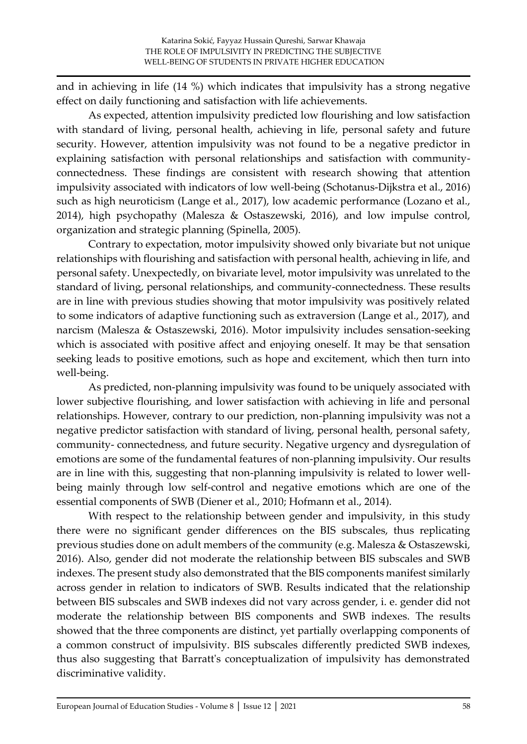and in achieving in life (14 %) which indicates that impulsivity has a strong negative effect on daily functioning and satisfaction with life achievements.

As expected, attention impulsivity predicted low flourishing and low satisfaction with standard of living, personal health, achieving in life, personal safety and future security. However, attention impulsivity was not found to be a negative predictor in explaining satisfaction with personal relationships and satisfaction with communityconnectedness. These findings are consistent with research showing that attention impulsivity associated with indicators of low well-being (Schotanus-Dijkstra et al., 2016) such as high neuroticism (Lange et al., 2017), low academic performance (Lozano et al., 2014), high psychopathy (Malesza & Ostaszewski, 2016), and low impulse control, organization and strategic planning (Spinella, 2005).

Contrary to expectation, motor impulsivity showed only bivariate but not unique relationships with flourishing and satisfaction with personal health, achieving in life, and personal safety. Unexpectedly, on bivariate level, motor impulsivity was unrelated to the standard of living, personal relationships, and community-connectedness. These results are in line with previous studies showing that motor impulsivity was positively related to some indicators of adaptive functioning such as extraversion (Lange et al., 2017), and narcism (Malesza & Ostaszewski, 2016). Motor impulsivity includes sensation-seeking which is associated with positive affect and enjoying oneself. It may be that sensation seeking leads to positive emotions, such as hope and excitement, which then turn into well-being.

As predicted, non-planning impulsivity was found to be uniquely associated with lower subjective flourishing, and lower satisfaction with achieving in life and personal relationships. However, contrary to our prediction, non-planning impulsivity was not a negative predictor satisfaction with standard of living, personal health, personal safety, community- connectedness, and future security. Negative urgency and dysregulation of emotions are some of the fundamental features of non-planning impulsivity. Our results are in line with this, suggesting that non-planning impulsivity is related to lower wellbeing mainly through low self-control and negative emotions which are one of the essential components of SWB (Diener et al., 2010; Hofmann et al., 2014).

With respect to the relationship between gender and impulsivity, in this study there were no significant gender differences on the BIS subscales, thus replicating previous studies done on adult members of the community (e.g. Malesza & Ostaszewski, 2016). Also, gender did not moderate the relationship between BIS subscales and SWB indexes. The present study also demonstrated that the BIS components manifest similarly across gender in relation to indicators of SWB. Results indicated that the relationship between BIS subscales and SWB indexes did not vary across gender, i. e. gender did not moderate the relationship between BIS components and SWB indexes. The results showed that the three components are distinct, yet partially overlapping components of a common construct of impulsivity. BIS subscales differently predicted SWB indexes, thus also suggesting that Barratt's conceptualization of impulsivity has demonstrated discriminative validity.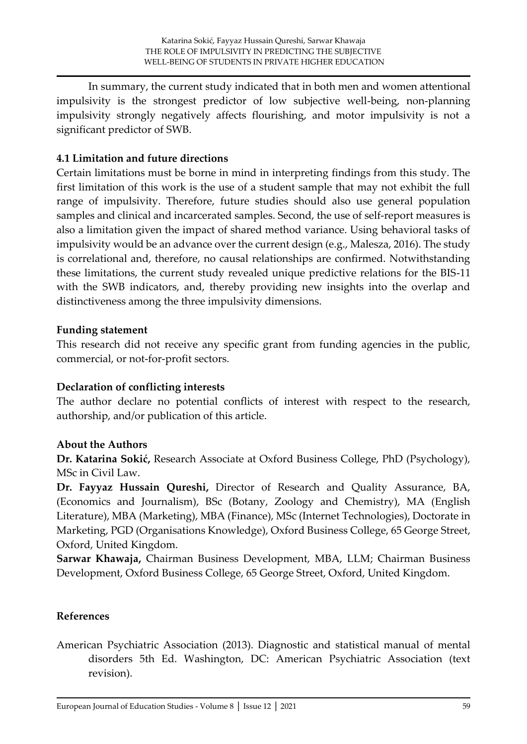In summary, the current study indicated that in both men and women attentional impulsivity is the strongest predictor of low subjective well-being, non-planning impulsivity strongly negatively affects flourishing, and motor impulsivity is not a significant predictor of SWB.

#### **4.1 Limitation and future directions**

Certain limitations must be borne in mind in interpreting findings from this study. The first limitation of this work is the use of a student sample that may not exhibit the full range of impulsivity. Therefore, future studies should also use general population samples and clinical and incarcerated samples. Second, the use of self-report measures is also a limitation given the impact of shared method variance. Using behavioral tasks of impulsivity would be an advance over the current design (e.g., Malesza, 2016). The study is correlational and, therefore, no causal relationships are confirmed. Notwithstanding these limitations, the current study revealed unique predictive relations for the BIS-11 with the SWB indicators, and, thereby providing new insights into the overlap and distinctiveness among the three impulsivity dimensions.

#### **Funding statement**

This research did not receive any specific grant from funding agencies in the public, commercial, or not-for-profit sectors.

#### **Declaration of conflicting interests**

The author declare no potential conflicts of interest with respect to the research, authorship, and/or publication of this article.

#### **About the Authors**

**Dr. Katarina Sokić,** Research Associate at Oxford Business College, PhD (Psychology), MSc in Civil Law.

**Dr. Fayyaz Hussain Qureshi,** Director of Research and Quality Assurance, BA, (Economics and Journalism), BSc (Botany, Zoology and Chemistry), MA (English Literature), MBA (Marketing), MBA (Finance), MSc (Internet Technologies), Doctorate in Marketing, PGD (Organisations Knowledge), Oxford Business College, 65 George Street, Oxford, United Kingdom.

**Sarwar Khawaja,** Chairman Business Development, MBA, LLM; Chairman Business Development, Oxford Business College, 65 George Street, Oxford, United Kingdom.

#### **References**

American Psychiatric Association (2013). Diagnostic and statistical manual of mental disorders 5th Ed. Washington, DC: American Psychiatric Association (text revision).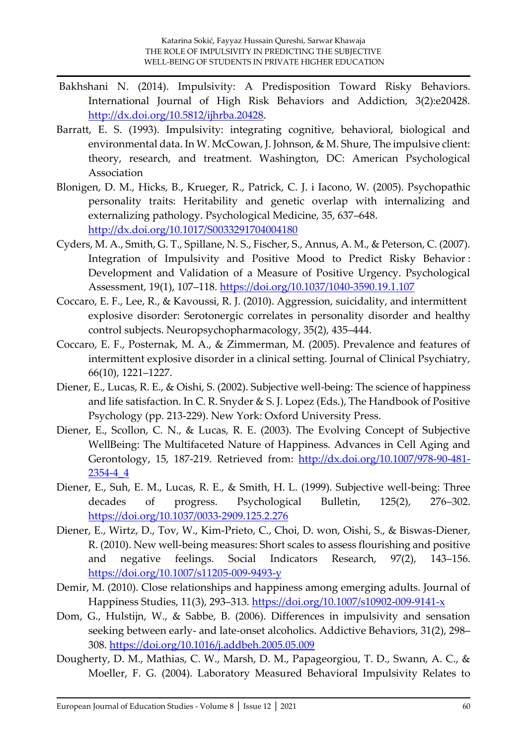- Bakhshani N. (2014). Impulsivity: A Predisposition Toward Risky Behaviors. International Journal of High Risk Behaviors and Addiction, 3(2):e20428. [http://dx.doi.org/10.5812/ijhrba.20428.](http://dx.doi.org/10.5812/ijhrba.20428)
- Barratt, E. S. (1993). Impulsivity: integrating cognitive, behavioral, biological and environmental data. In W. McCowan, J. Johnson, & M. Shure, The impulsive client: theory, research, and treatment. Washington, DC: American Psychological Association
- Blonigen, D. M., Hicks, B., Krueger, R., Patrick, C. J. i Iacono, W. (2005). Psychopathic personality traits: Heritability and genetic overlap with internalizing and externalizing pathology. Psychological Medicine, 35, 637–648. <http://dx.doi.org/10.1017/S0033291704004180>
- Cyders, M. A., Smith, G. T., Spillane, N. S., Fischer, S., Annus, A. M., & Peterson, C. (2007). Integration of Impulsivity and Positive Mood to Predict Risky Behavior : Development and Validation of a Measure of Positive Urgency. Psychological Assessment, 19(1), 107–118.<https://doi.org/10.1037/1040-3590.19.1.107>
- Coccaro, E. F., Lee, R., & Kavoussi, R. J. (2010). Aggression, suicidality, and intermittent explosive disorder: Serotonergic correlates in personality disorder and healthy control subjects. Neuropsychopharmacology, 35(2), 435–444.
- Coccaro, E. F., Posternak, M. A., & Zimmerman, M. (2005). Prevalence and features of intermittent explosive disorder in a clinical setting. Journal of Clinical Psychiatry, 66(10), 1221–1227.
- Diener, E., Lucas, R. E., & Oishi, S. (2002). Subjective well-being: The science of happiness and life satisfaction. In C. R. Snyder & S. J. Lopez (Eds.), The Handbook of Positive Psychology (pp. 213-229). New York: Oxford University Press.
- Diener, E., Scollon, C. N., & Lucas, R. E. (2003). The Evolving Concept of Subjective WellBeing: The Multifaceted Nature of Happiness. Advances in Cell Aging and Gerontology, 15, 187-219. Retrieved from: [http://dx.doi.org/10.1007/978-90-481-](http://dx.doi.org/10.1007/978-90-481-2354-4_4) [2354-4\\_4](http://dx.doi.org/10.1007/978-90-481-2354-4_4)
- Diener, E., Suh, E. M., Lucas, R. E., & Smith, H. L. (1999). Subjective well-being: Three decades of progress. Psychological Bulletin, 125(2), 276–302. <https://doi.org/10.1037/0033-2909.125.2.276>
- Diener, E., Wirtz, D., Tov, W., Kim-Prieto, C., Choi, D. won, Oishi, S., & Biswas-Diener, R. (2010). New well-being measures: Short scales to assess flourishing and positive and negative feelings. Social Indicators Research, 97(2), 143–156. <https://doi.org/10.1007/s11205-009-9493-y>
- Demir, M. (2010). Close relationships and happiness among emerging adults. Journal of Happiness Studies, 11(3), 293–313.<https://doi.org/10.1007/s10902-009-9141-x>
- Dom, G., Hulstijn, W., & Sabbe, B. (2006). Differences in impulsivity and sensation seeking between early- and late-onset alcoholics. Addictive Behaviors, 31(2), 298– 308.<https://doi.org/10.1016/j.addbeh.2005.05.009>
- Dougherty, D. M., Mathias, C. W., Marsh, D. M., Papageorgiou, T. D., Swann, A. C., & Moeller, F. G. (2004). Laboratory Measured Behavioral Impulsivity Relates to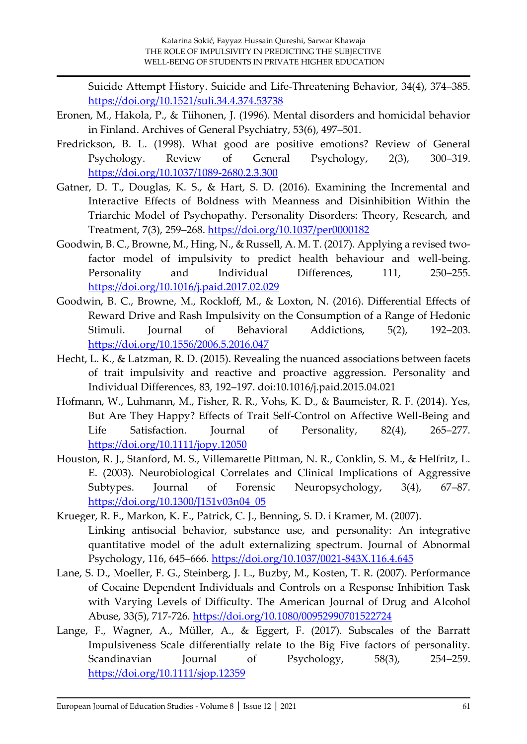Suicide Attempt History. Suicide and Life-Threatening Behavior, 34(4), 374–385. <https://doi.org/10.1521/suli.34.4.374.53738>

- Eronen, M., Hakola, P., & Tiihonen, J. (1996). Mental disorders and homicidal behavior in Finland. Archives of General Psychiatry, 53(6), 497–501.
- Fredrickson, B. L. (1998). What good are positive emotions? Review of General Psychology. Review of General Psychology, 2(3), 300–319. <https://doi.org/10.1037/1089-2680.2.3.300>
- Gatner, D. T., Douglas, K. S., & Hart, S. D. (2016). Examining the Incremental and Interactive Effects of Boldness with Meanness and Disinhibition Within the Triarchic Model of Psychopathy. Personality Disorders: Theory, Research, and Treatment, 7(3), 259–268.<https://doi.org/10.1037/per0000182>
- Goodwin, B. C., Browne, M., Hing, N., & Russell, A. M. T. (2017). Applying a revised twofactor model of impulsivity to predict health behaviour and well-being. Personality and Individual Differences, 111, 250–255. <https://doi.org/10.1016/j.paid.2017.02.029>
- Goodwin, B. C., Browne, M., Rockloff, M., & Loxton, N. (2016). Differential Effects of Reward Drive and Rash Impulsivity on the Consumption of a Range of Hedonic Stimuli. Journal of Behavioral Addictions, 5(2), 192–203. <https://doi.org/10.1556/2006.5.2016.047>
- Hecht, L. K., & Latzman, R. D. (2015). Revealing the nuanced associations between facets of trait impulsivity and reactive and proactive aggression. Personality and Individual Differences, 83, 192–197. doi:10.1016/j.paid.2015.04.021
- Hofmann, W., Luhmann, M., Fisher, R. R., Vohs, K. D., & Baumeister, R. F. (2014). Yes, But Are They Happy? Effects of Trait Self-Control on Affective Well-Being and Life Satisfaction. Journal of Personality, 82(4), 265–277. <https://doi.org/10.1111/jopy.12050>
- Houston, R. J., Stanford, M. S., Villemarette Pittman, N. R., Conklin, S. M., & Helfritz, L. E. (2003). Neurobiological Correlates and Clinical Implications of Aggressive Subtypes. Journal of Forensic Neuropsychology, 3(4), 67–87. [https://doi.org/10.1300/J151v03n04\\_05](https://doi.org/10.1300/J151v03n04_05)
- Krueger, R. F., Markon, K. E., Patrick, C. J., Benning, S. D. i Kramer, M. (2007). Linking antisocial behavior, substance use, and personality: An integrative quantitative model of the adult externalizing spectrum. Journal of Abnormal Psychology, 116, 645–666.<https://doi.org/10.1037/0021-843X.116.4.645>
- Lane, S. D., Moeller, F. G., Steinberg, J. L., Buzby, M., Kosten, T. R. (2007). Performance of Cocaine Dependent Individuals and Controls on a Response Inhibition Task with Varying Levels of Difficulty. The American Journal of Drug and Alcohol Abuse, 33(5), 717-726.<https://doi.org/10.1080/00952990701522724>
- Lange, F., Wagner, A., Müller, A., & Eggert, F. (2017). Subscales of the Barratt Impulsiveness Scale differentially relate to the Big Five factors of personality. Scandinavian Journal of Psychology, 58(3), 254–259. <https://doi.org/10.1111/sjop.12359>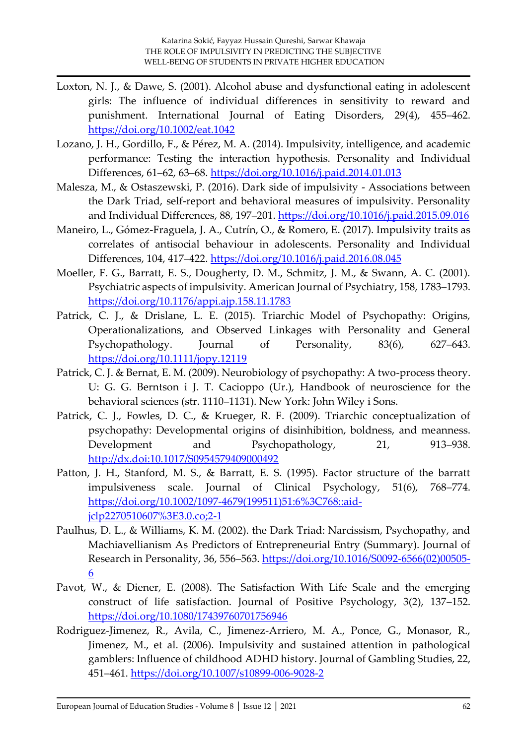- Loxton, N. J., & Dawe, S. (2001). Alcohol abuse and dysfunctional eating in adolescent girls: The influence of individual differences in sensitivity to reward and punishment. International Journal of Eating Disorders, 29(4), 455–462. <https://doi.org/10.1002/eat.1042>
- Lozano, J. H., Gordillo, F., & Pérez, M. A. (2014). Impulsivity, intelligence, and academic performance: Testing the interaction hypothesis. Personality and Individual Differences, 61–62, 63–68.<https://doi.org/10.1016/j.paid.2014.01.013>
- Malesza, M., & Ostaszewski, P. (2016). Dark side of impulsivity Associations between the Dark Triad, self-report and behavioral measures of impulsivity. Personality and Individual Differences, 88, 197–201.<https://doi.org/10.1016/j.paid.2015.09.016>
- Maneiro, L., Gómez-Fraguela, J. A., Cutrín, O., & Romero, E. (2017). Impulsivity traits as correlates of antisocial behaviour in adolescents. Personality and Individual Differences, 104, 417–422.<https://doi.org/10.1016/j.paid.2016.08.045>
- Moeller, F. G., Barratt, E. S., Dougherty, D. M., Schmitz, J. M., & Swann, A. C. (2001). Psychiatric aspects of impulsivity. American Journal of Psychiatry, 158, 1783–1793. <https://doi.org/10.1176/appi.ajp.158.11.1783>
- Patrick, C. J., & Drislane, L. E. (2015). Triarchic Model of Psychopathy: Origins, Operationalizations, and Observed Linkages with Personality and General Psychopathology. Journal of Personality, 83(6), 627–643. <https://doi.org/10.1111/jopy.12119>
- Patrick, C. J. & Bernat, E. M. (2009). Neurobiology of psychopathy: A two-process theory. U: G. G. Berntson i J. T. Cacioppo (Ur.), Handbook of neuroscience for the behavioral sciences (str. 1110–1131). New York: John Wiley i Sons.
- Patrick, C. J., Fowles, D. C., & Krueger, R. F. (2009). Triarchic conceptualization of psychopathy: Developmental origins of disinhibition, boldness, and meanness. Development and Psychopathology, 21, 913–938. <http://dx.doi:10.1017/S0954579409000492>
- Patton, J. H., Stanford, M. S., & Barratt, E. S. (1995). Factor structure of the barratt impulsiveness scale. Journal of Clinical Psychology, 51(6), 768–774. [https://doi.org/10.1002/1097-4679\(199511\)51:6%3C768::aid](https://doi.org/10.1002/1097-4679(199511)51:6%3C768::aid-jclp2270510607%3E3.0.co;2-1)[jclp2270510607%3E3.0.co;2-1](https://doi.org/10.1002/1097-4679(199511)51:6%3C768::aid-jclp2270510607%3E3.0.co;2-1)
- Paulhus, D. L., & Williams, K. M. (2002). the Dark Triad: Narcissism, Psychopathy, and Machiavellianism As Predictors of Entrepreneurial Entry (Summary). Journal of Research in Personality, 36, 556–563. [https://doi.org/10.1016/S0092-6566\(02\)00505-](https://doi.org/10.1016/S0092-6566(02)00505-6) [6](https://doi.org/10.1016/S0092-6566(02)00505-6)
- Pavot, W., & Diener, E. (2008). The Satisfaction With Life Scale and the emerging construct of life satisfaction. Journal of Positive Psychology, 3(2), 137–152. <https://doi.org/10.1080/17439760701756946>
- Rodriguez-Jimenez, R., Avila, C., Jimenez-Arriero, M. A., Ponce, G., Monasor, R., Jimenez, M., et al. (2006). Impulsivity and sustained attention in pathological gamblers: Influence of childhood ADHD history. Journal of Gambling Studies, 22, 451–461.<https://doi.org/10.1007/s10899-006-9028-2>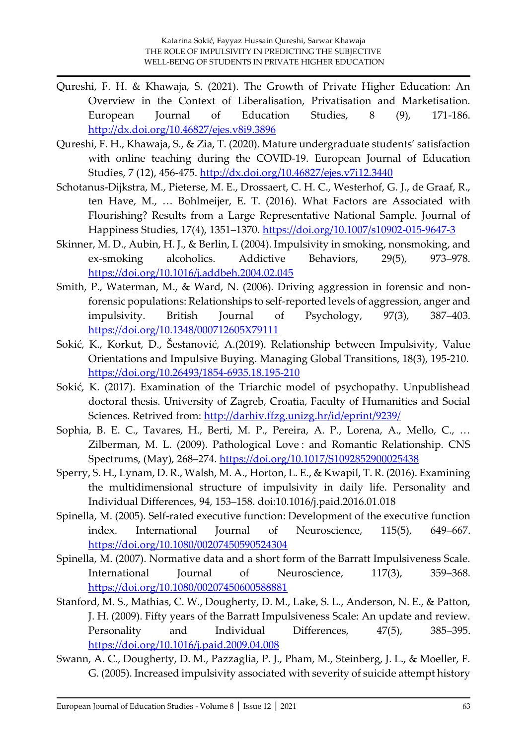- Qureshi, F. H. & Khawaja, S. (2021). The Growth of Private Higher Education: An Overview in the Context of Liberalisation, Privatisation and Marketisation. European Journal of Education Studies, 8 (9), 171-186. <http://dx.doi.org/10.46827/ejes.v8i9.3896>
- Qureshi, F. H., Khawaja, S., & Zia, T. (2020). Mature undergraduate students' satisfaction with online teaching during the COVID-19. European Journal of Education Studies, 7 (12), 456-475.<http://dx.doi.org/10.46827/ejes.v7i12.3440>
- Schotanus-Dijkstra, M., Pieterse, M. E., Drossaert, C. H. C., Westerhof, G. J., de Graaf, R., ten Have, M., … Bohlmeijer, E. T. (2016). What Factors are Associated with Flourishing? Results from a Large Representative National Sample. Journal of Happiness Studies, 17(4), 1351–1370.<https://doi.org/10.1007/s10902-015-9647-3>
- Skinner, M. D., Aubin, H. J., & Berlin, I. (2004). Impulsivity in smoking, nonsmoking, and ex-smoking alcoholics. Addictive Behaviors, 29(5), 973–978. <https://doi.org/10.1016/j.addbeh.2004.02.045>
- Smith, P., Waterman, M., & Ward, N. (2006). Driving aggression in forensic and nonforensic populations: Relationships to self-reported levels of aggression, anger and impulsivity. British Journal of Psychology, 97(3), 387–403. <https://doi.org/10.1348/000712605X79111>
- Sokić, K., Korkut, D., Šestanović, A.(2019). Relationship between Impulsivity, Value Orientations and Impulsive Buying. Managing Global Transitions, 18(3), 195-210. <https://doi.org/10.26493/1854-6935.18.195-210>
- Sokić, K. (2017). Examination of the Triarchic model of psychopathy. Unpublishead doctoral thesis. University of Zagreb, Croatia, Faculty of Humanities and Social Sciences. Retrived from:<http://darhiv.ffzg.unizg.hr/id/eprint/9239/>
- Sophia, B. E. C., Tavares, H., Berti, M. P., Pereira, A. P., Lorena, A., Mello, C., … Zilberman, M. L. (2009). Pathological Love : and Romantic Relationship. CNS Spectrums, (May), 268–274.<https://doi.org/10.1017/S1092852900025438>
- Sperry, S. H., Lynam, D. R., Walsh, M. A., Horton, L. E., & Kwapil, T. R. (2016). Examining the multidimensional structure of impulsivity in daily life. Personality and Individual Differences, 94, 153–158. doi:10.1016/j.paid.2016.01.018
- Spinella, M. (2005). Self-rated executive function: Development of the executive function index. International Journal of Neuroscience, 115(5), 649–667. <https://doi.org/10.1080/00207450590524304>
- Spinella, M. (2007). Normative data and a short form of the Barratt Impulsiveness Scale. International Journal of Neuroscience, 117(3), 359–368. <https://doi.org/10.1080/00207450600588881>
- Stanford, M. S., Mathias, C. W., Dougherty, D. M., Lake, S. L., Anderson, N. E., & Patton, J. H. (2009). Fifty years of the Barratt Impulsiveness Scale: An update and review. Personality and Individual Differences, 47(5), 385–395. <https://doi.org/10.1016/j.paid.2009.04.008>
- Swann, A. C., Dougherty, D. M., Pazzaglia, P. J., Pham, M., Steinberg, J. L., & Moeller, F. G. (2005). Increased impulsivity associated with severity of suicide attempt history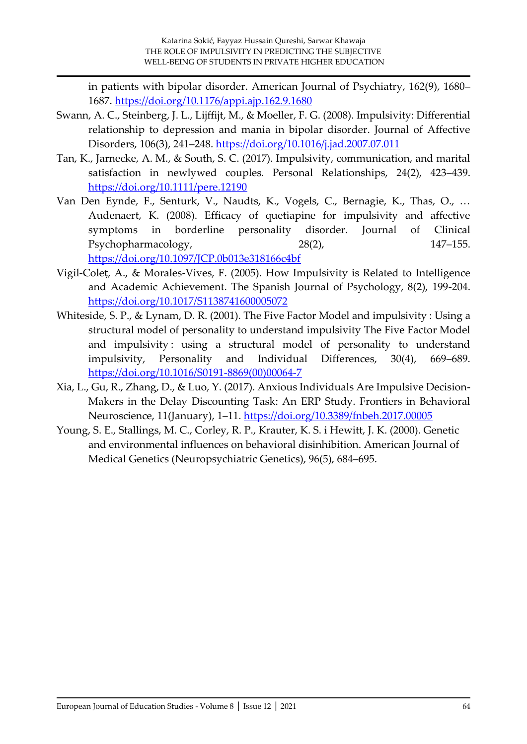in patients with bipolar disorder. American Journal of Psychiatry, 162(9), 1680– 1687.<https://doi.org/10.1176/appi.ajp.162.9.1680>

- Swann, A. C., Steinberg, J. L., Lijffijt, M., & Moeller, F. G. (2008). Impulsivity: Differential relationship to depression and mania in bipolar disorder. Journal of Affective Disorders, 106(3), 241–248.<https://doi.org/10.1016/j.jad.2007.07.011>
- Tan, K., Jarnecke, A. M., & South, S. C. (2017). Impulsivity, communication, and marital satisfaction in newlywed couples. Personal Relationships, 24(2), 423–439. <https://doi.org/10.1111/pere.12190>
- Van Den Eynde, F., Senturk, V., Naudts, K., Vogels, C., Bernagie, K., Thas, O., … Audenaert, K. (2008). Efficacy of quetiapine for impulsivity and affective symptoms in borderline personality disorder. Journal of Clinical Psychopharmacology, 28(2), 28(2), 147–155. <https://doi.org/10.1097/JCP.0b013e318166c4bf>
- Vigil-Coleṭ, A., & Morales-Vives, F. (2005). How Impulsivity is Related to Intelligence and Academic Achievement. The Spanish Journal of Psychology, 8(2), 199-204. <https://doi.org/10.1017/S1138741600005072>
- Whiteside, S. P., & Lynam, D. R. (2001). The Five Factor Model and impulsivity : Using a structural model of personality to understand impulsivity The Five Factor Model and impulsivity: using a structural model of personality to understand impulsivity, Personality and Individual Differences, 30(4), 669–689. [https://doi.org/10.1016/S0191-8869\(00\)00064-7](https://doi.org/10.1016/S0191-8869(00)00064-7)
- Xia, L., Gu, R., Zhang, D., & Luo, Y. (2017). Anxious Individuals Are Impulsive Decision-Makers in the Delay Discounting Task: An ERP Study. Frontiers in Behavioral Neuroscience, 11(January), 1–11.<https://doi.org/10.3389/fnbeh.2017.00005>
- Young, S. E., Stallings, M. C., Corley, R. P., Krauter, K. S. i Hewitt, J. K. (2000). Genetic and environmental influences on behavioral disinhibition. American Journal of Medical Genetics (Neuropsychiatric Genetics), 96(5), 684–695.